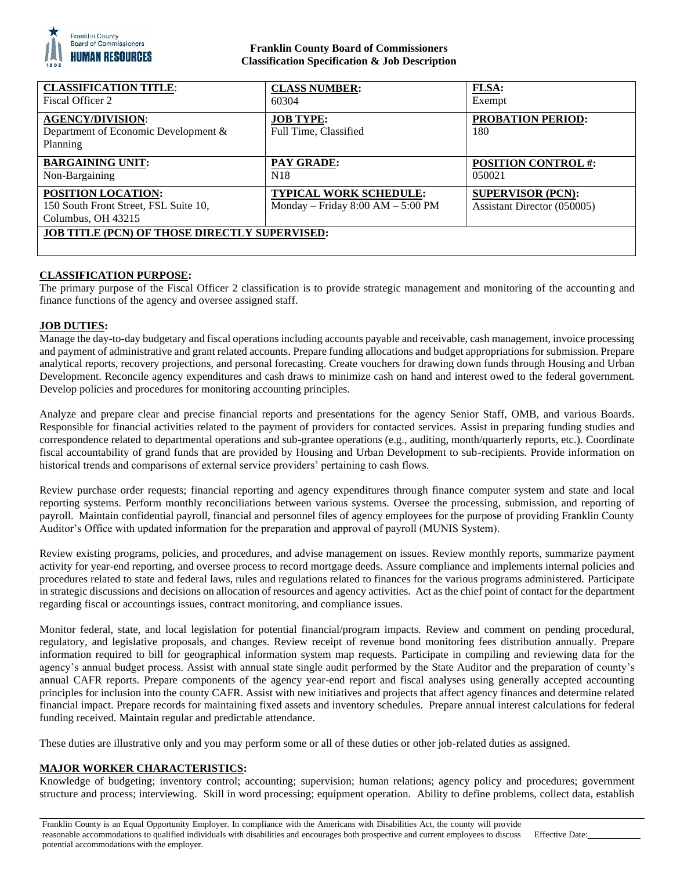

## **Franklin County Board of Commissioners Classification Specification & Job Description**

| <b>CLASSIFICATION TITLE:</b><br>Fiscal Officer 2                                         | <b>CLASS NUMBER:</b><br>60304                                          | <b>FLSA:</b><br>Exempt                                  |
|------------------------------------------------------------------------------------------|------------------------------------------------------------------------|---------------------------------------------------------|
| <b>AGENCY/DIVISION:</b><br>Department of Economic Development &<br>Planning              | <b>JOB TYPE:</b><br>Full Time, Classified                              | <b>PROBATION PERIOD:</b><br>180                         |
| <b>BARGAINING UNIT:</b><br>Non-Bargaining                                                | <b>PAY GRADE:</b><br>N <sub>18</sub>                                   | <b>POSITION CONTROL #:</b><br>050021                    |
| <b>POSITION LOCATION:</b><br>150 South Front Street, FSL Suite 10,<br>Columbus, OH 43215 | <b>TYPICAL WORK SCHEDULE:</b><br>Monday – Friday $8:00$ AM – $5:00$ PM | <b>SUPERVISOR (PCN):</b><br>Assistant Director (050005) |
| <b>JOB TITLE (PCN) OF THOSE DIRECTLY SUPERVISED:</b>                                     |                                                                        |                                                         |

# **CLASSIFICATION PURPOSE:**

The primary purpose of the Fiscal Officer 2 classification is to provide strategic management and monitoring of the accounting and finance functions of the agency and oversee assigned staff.

### **JOB DUTIES:**

Manage the day-to-day budgetary and fiscal operations including accounts payable and receivable, cash management, invoice processing and payment of administrative and grant related accounts. Prepare funding allocations and budget appropriations for submission. Prepare analytical reports, recovery projections, and personal forecasting. Create vouchers for drawing down funds through Housing and Urban Development. Reconcile agency expenditures and cash draws to minimize cash on hand and interest owed to the federal government. Develop policies and procedures for monitoring accounting principles.

Analyze and prepare clear and precise financial reports and presentations for the agency Senior Staff, OMB, and various Boards. Responsible for financial activities related to the payment of providers for contacted services. Assist in preparing funding studies and correspondence related to departmental operations and sub-grantee operations (e.g., auditing, month/quarterly reports, etc.). Coordinate fiscal accountability of grand funds that are provided by Housing and Urban Development to sub-recipients. Provide information on historical trends and comparisons of external service providers' pertaining to cash flows.

Review purchase order requests; financial reporting and agency expenditures through finance computer system and state and local reporting systems. Perform monthly reconciliations between various systems. Oversee the processing, submission, and reporting of payroll. Maintain confidential payroll, financial and personnel files of agency employees for the purpose of providing Franklin County Auditor's Office with updated information for the preparation and approval of payroll (MUNIS System).

Review existing programs, policies, and procedures, and advise management on issues. Review monthly reports, summarize payment activity for year-end reporting, and oversee process to record mortgage deeds. Assure compliance and implements internal policies and procedures related to state and federal laws, rules and regulations related to finances for the various programs administered. Participate in strategic discussions and decisions on allocation of resources and agency activities. Act as the chief point of contact for the department regarding fiscal or accountings issues, contract monitoring, and compliance issues.

Monitor federal, state, and local legislation for potential financial/program impacts. Review and comment on pending procedural, regulatory, and legislative proposals, and changes. Review receipt of revenue bond monitoring fees distribution annually. Prepare information required to bill for geographical information system map requests. Participate in compiling and reviewing data for the agency's annual budget process. Assist with annual state single audit performed by the State Auditor and the preparation of county's annual CAFR reports. Prepare components of the agency year-end report and fiscal analyses using generally accepted accounting principles for inclusion into the county CAFR. Assist with new initiatives and projects that affect agency finances and determine related financial impact. Prepare records for maintaining fixed assets and inventory schedules. Prepare annual interest calculations for federal funding received. Maintain regular and predictable attendance.

These duties are illustrative only and you may perform some or all of these duties or other job-related duties as assigned.

# **MAJOR WORKER CHARACTERISTICS:**

Knowledge of budgeting; inventory control; accounting; supervision; human relations; agency policy and procedures; government structure and process; interviewing. Skill in word processing; equipment operation. Ability to define problems, collect data, establish